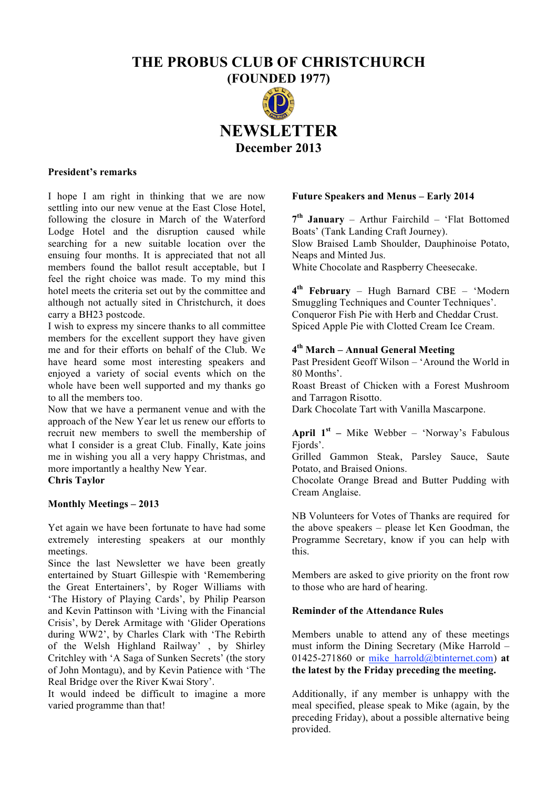# **THE PROBUS CLUB OF CHRISTCHURCH**

**(FOUNDED 1977) NEWSLETTER December 2013**

#### **President's remarks**

I hope I am right in thinking that we are now settling into our new venue at the East Close Hotel, following the closure in March of the Waterford Lodge Hotel and the disruption caused while searching for a new suitable location over the ensuing four months. It is appreciated that not all members found the ballot result acceptable, but I feel the right choice was made. To my mind this hotel meets the criteria set out by the committee and although not actually sited in Christchurch, it does carry a BH23 postcode.

I wish to express my sincere thanks to all committee members for the excellent support they have given me and for their efforts on behalf of the Club. We have heard some most interesting speakers and enjoyed a variety of social events which on the whole have been well supported and my thanks go to all the members too.

Now that we have a permanent venue and with the approach of the New Year let us renew our efforts to recruit new members to swell the membership of what I consider is a great Club. Finally, Kate joins me in wishing you all a very happy Christmas, and more importantly a healthy New Year.

**Chris Taylor**

## **Monthly Meetings – 2013**

Yet again we have been fortunate to have had some extremely interesting speakers at our monthly meetings.

Since the last Newsletter we have been greatly entertained by Stuart Gillespie with 'Remembering the Great Entertainers', by Roger Williams with 'The History of Playing Cards', by Philip Pearson and Kevin Pattinson with 'Living with the Financial Crisis', by Derek Armitage with 'Glider Operations during WW2', by Charles Clark with 'The Rebirth of the Welsh Highland Railway', by Shirley Critchley with 'A Saga of Sunken Secrets' (the story of John Montagu), and by Kevin Patience with 'The Real Bridge over the River Kwai Story'.

It would indeed be difficult to imagine a more varied programme than that!

#### **Future Speakers and Menus – Early 2014**

**7th January** – Arthur Fairchild – 'Flat Bottomed Boats' (Tank Landing Craft Journey). Slow Braised Lamb Shoulder, Dauphinoise Potato, Neaps and Minted Jus.

White Chocolate and Raspberry Cheesecake.

**4th February** – Hugh Barnard CBE – 'Modern Smuggling Techniques and Counter Techniques'. Conqueror Fish Pie with Herb and Cheddar Crust. Spiced Apple Pie with Clotted Cream Ice Cream.

# **4th March – Annual General Meeting**

Past President Geoff Wilson – 'Around the World in 80 Months'.

Roast Breast of Chicken with a Forest Mushroom and Tarragon Risotto.

Dark Chocolate Tart with Vanilla Mascarpone.

**April 1st –** Mike Webber – 'Norway's Fabulous Fiords'.

Grilled Gammon Steak, Parsley Sauce, Saute Potato, and Braised Onions.

Chocolate Orange Bread and Butter Pudding with Cream Anglaise.

NB Volunteers for Votes of Thanks are required for the above speakers – please let Ken Goodman, the Programme Secretary, know if you can help with this.

Members are asked to give priority on the front row to those who are hard of hearing.

## **Reminder of the Attendance Rules**

Members unable to attend any of these meetings must inform the Dining Secretary (Mike Harrold – 01425-271860 or mike\_harrold@btinternet.com) **at the latest by the Friday preceding the meeting.**

Additionally, if any member is unhappy with the meal specified, please speak to Mike (again, by the preceding Friday), about a possible alternative being provided.